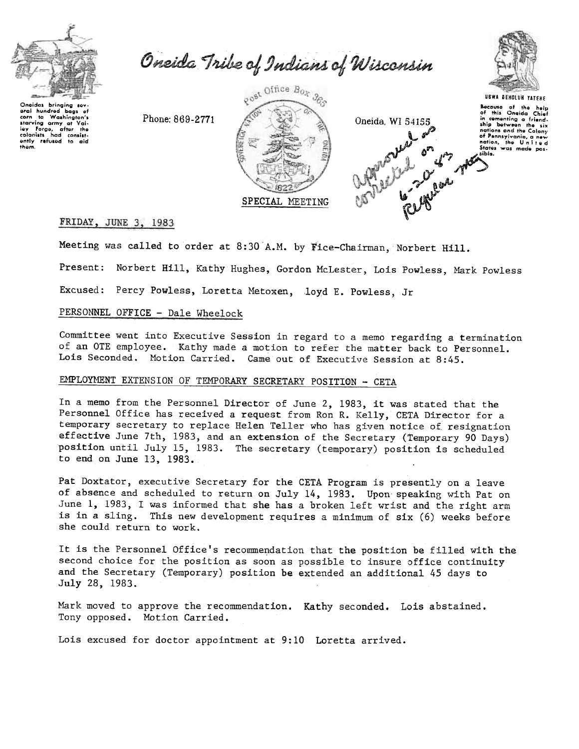

Oneida Tribe of Indians of Wisconsin



Phone: 869-2771







# FRIDAY, JUNE 3, 1983

Meeting was called to order at 8:30 A.M. by Fice-Chairman, Norbert Hill.

Present: Norbert Hill, Kathy Hughes, Gordon McLester, Lois Powless, Mark Powless

Excused: Percy Powless, Loretta Metoxen, loyd E. Powless, Jr

# PERSONNEL OFFICE - Dale Wheelock

Committee went into Executive Session in regard to a memo regarding a termination of an OTE employee. Kathy made a motion to refer the matter back to Personnel. Lois Seconded. Motion Carried. Came out of Executive Session at 8:45.

# EMPLOYMENT EXTENSION OF TEMPORARY SECRETARY POSITION - CETA

In a memo from the Personnel Director of June 2, 1983, it was stated that the Personnel Office has received a request from Ron R. Kelly, CETA Director for a temporary secretary to replace Helen Teller who has given notice of resignation effective June 7th, 1983, and an extension of the Secretary (Temporary 90 Days) position until July 15, 1983. The secretary (temporary) position is scheduled to end on June 13, 1983.

Pat Doxtator, executive Secretary for the CETA Program is presently on a leave of absence and scheduled to return on July 14, 1983. Upon speaking with Pat on June 1, 1983, I was informed that she has a broken left wrist and the right arm is in a sling. This new development requires a minimum of six (6) weeks before she could return to work.

It is the Personnel Office's recommendation that the position be filled with the second choice for the position as soon as possible to insure office continuity and the Secretary (Temporary) position be extended an additional 45 days to July 28, 1983.

Mark moved to approve the recommendation. Kathy seconded. Lois abstained. Tony opposed. Motion Carried.

Lois excused for doctor appointment at 9:10 Loretta arrived.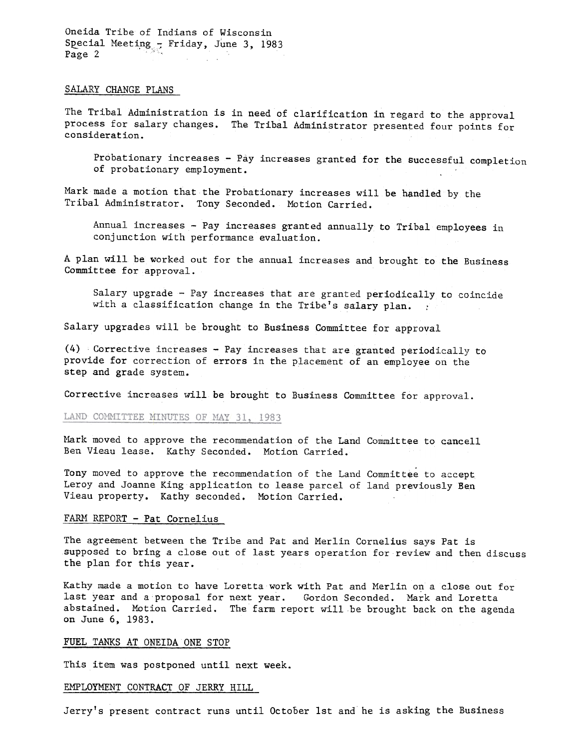Oneida Tribe of Indians of Wisconsin Special Meeting  $-$  Friday, June 3, 1983<br>Page 2

#### SALARY CHANGE PLANS

The Tribal Administration is in need of clarification in regard to the approval process for salary changes. The Tribal Administrator presented four points for consideration.

Probationary increases - Pay increases granted for the successful completion of probationary employment.

Mark made a motion that the Probationary increases will be handled by the Tribal Administrator. Tony Seconded. Motion Carried.

Annual increases - Pay increases granted annually to Tribal employees in conjunction with performance evaluation.

A plan will be worked out for the annual increases and brought to the Business Committee for approval.

Salary upgrade - Pay increases that are granted periodically to coincide with a classification change in the Tribe's salary plan.  $\cdot$ 

Salary upgrades will be brought to Business Committee for approval

(4) Corrective increases -Pay increases that are granted periodically to provide for correction of errors in the placement of an employee on the step and grade system.

Corrective increases will be brought to Business Committee for approval.

#### LAND COMMITTEE MINUTES OF MAY 31, 1983

Mark moved to approve the recommendation of the Land Committee to cancell Ben Vieau lease. Kathy Seconded. Motion Carried.

Tony moved to approve the recommendation of the Land Committee to accept Leroy and Joanne King application to lease parcel of land previously Ben Vieau property. Kathy seconded. Motion Carried.

### FARM REPORT - Pat Cornelius

The agreement between the Tribe and Pat and Merlin Cornelius says Pat is supposed to bring a close out of last years operation for review and then discuss the plan for this year.

Kathy made a motion to have Loretta work with Pat and Merlin on a close out for last year and a proposal for next year. Gordon Seconded. Mark and Loretta abstained. Motion Carried. The farm report will be brought back on the agenda on June 6,1983.

#### FUEL TANKS AT ONEIDA ONE STOP

This item was postponed until next week.

# EMPLOYMENT CONTRACT OF JERRY HILL

Jerry's present contract runs until October 1st and he is asking the Business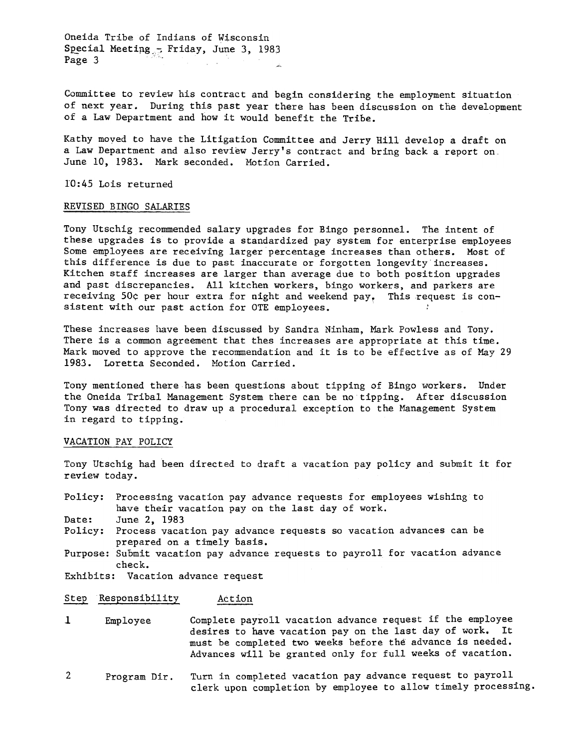Oneida Tribe of Indians of Wisconsin Special Meeting. $\frac{1}{2}$ . Friday, June 3, 1983 Page 3

Committee to review his contract and begin considering the employment situation of next year. During this past year there has been discussion on the development of a Law Department and how it would benefit the Tribe.

Kathy moved to have the Litigation Committee and Jerry Hill develop a draft on a Law Department and also review Jerry's contract and bring back a report on June 10, 1983. Mark seconded. Motion Carried.

10:45 Lois returned

#### REVISED BINGO SALARIES

Tony Utschig recommended salary upgrades for Bingo personnel. The intent of these upgrades is to provide a standardized pay system for enterprise employees Some employees are receiving larger percentage increases than others. Most of this difference is due to past inaccurate or forgotten longevity increases. Kitchen staff increases are larger than average due to both position upgrades and past discrepancies. All kitchen workers, bingo workers, and parkers are receiving 50¢ per hour extra for night and weekend pay. This request is consistent with our past action for OTE employees.

These increases have been discussed by Sandra Ninham, Mark Powless and Tony. There is a common agreement that thes increases are appropriate at this time. Mark moved to approve the recommendation and it is to be effective as of May 29 1983. Loretta Seconded. Motion Carried.

Tony mentioned there has been questions about tipping of Bingo workers. Under the Oneida Tribal Management System there can be no tipping. After discussion Tony was directed to draw up a procedural exception to the Management System in regard to tipping.

#### VACATION PAY POLICY

Tony Utschig had been directed to draft a vacation pay policy and submit it for review today.

Policy: Processing vacation pay advance requests for employees wishing to have their vacation pay on the last day of work.

Date: June 2, 1983

Policy: Process vacation pay advance requests so vacation advances can be prepared on a timely basis.

Purpose: Submit vacation pay advance requests to payroll for vacation advance check.

Exhibits: Vacation advance request

## Step Responsibility Action

- Complete payroll vacation advance request if the employee desires to have vacation pay on the last day of work. It must be completed two weeks before the advance is needed. Advances will be granted only for full weeks of vacation. 1 Employee
- Turn in completed vacation pay advance request to payroll clerk upon completion by employee to allow timely processing. 2 Program Dir.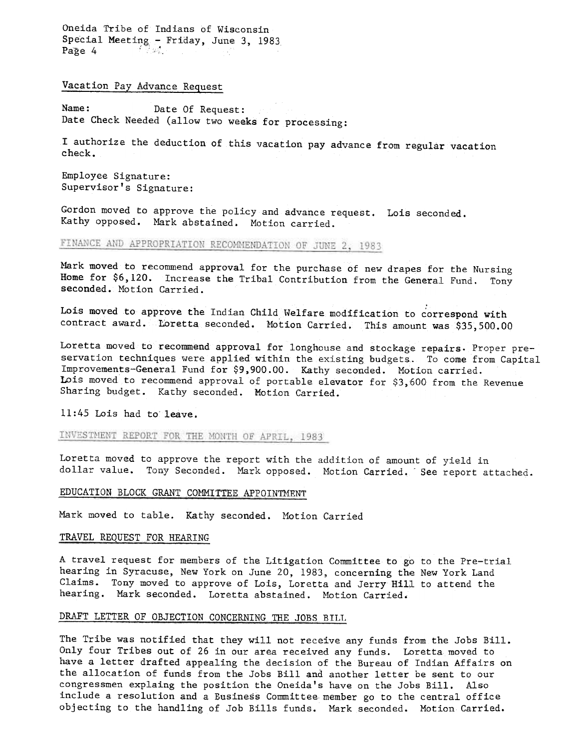Oneida Tribe of Indians of Wisconsin Special Meeting - Friday, June 3, 1983<br>Page 4

Vacation Pay Advance Request

Name: Date Of Request: Date Check Needed (allow two weeks for processing:

I authorize the deduction of this vacation pay advance from regular vacation check.

Employee Signature: Supervisor's Signature:

Gordon moved to approve the policy and advance request. Lois seconded Kathy opposed. Mark abstained. Motion carried.

# FINANCE AND APPROPRIATION RECOMMENDATION OF JUNE 2, 1983

Mark moved to recommend approval for the purchase of new drapes for the Nursing Home for \$6,120. Increase the Tribal Contribution from the General Fund. Tony seconded. Motion Carried.

Lois moved to approve the Indian Child Welfare modification to correspond with contract award. Loretta seconded. Motion Carried. This amount was \$35,500.00

Loretta moved to recommend approval for longhouse and stockage repairs. Proper preservation techniques were applied within the existing budgets. To come from Capital Improvements-General Fund for \$9,900.00. Kathy seconded. Motion carried. Lois moved to recommend approval of portable elevator for \$3,600 from the Revenue Sharing budget. Kathy seconded. Motion Carried.

11:45 Lois had to'leave.

INVESTMENT REPORT FOR THE MONTH OF APRIL, 1983

Loretta moved to approve the report with the addition of amount of yield in dollar value. Tony Seconded. Mark opposed. Motion Carried. See report attached.

#### EDUCATION BLOCK GRANT COMMITTEE APPOINTMENT

Mark moved to table. Kathy seconded. Motion Carried

### TRAVEL REQUEST FOR HEARING

A travel request for members of the Litigation Connnittee to go to the Pre-trial hearing in Syracuse, New York on June 20, 1983, concerning the New York Land Claims. Tony moved to approve of Lois, Loretta and Jerry Hill to attend the hearing. Mark seconded. Loretta abstained. Motion Carried.

#### DRAFT LETTER OF OBJECTION CONCERNING THE JOBS BILL

The Tribe was notified that they will not receive any funds from the Jobs Bill. Only four Tribes out of 26 in our area received any funds. Loretta moved to have a letter drafted appealing the decision of the Bureau of Indian Affairs on the allocation of funds from the Jobs Bill and another letter be sent to our congressmen explaing the position the Oneida's have on the Jobs Bill. Also include a resolution and a Business Committee-member go to the central office objecting to the handling of Job Bills funds. Mark seconded. Motion Carried.